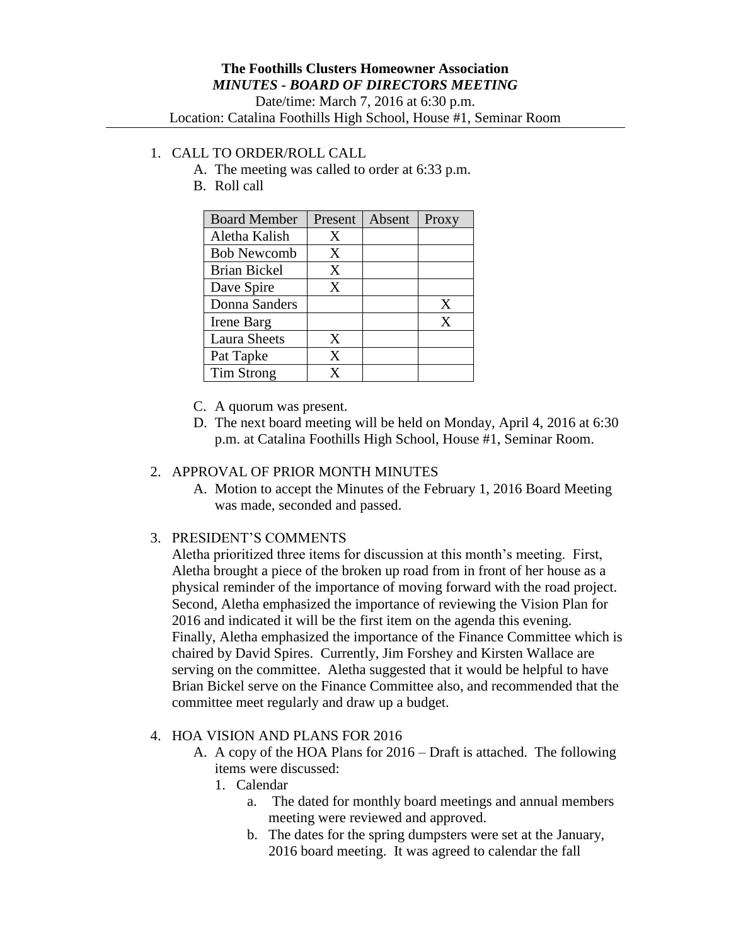# 1. CALL TO ORDER/ROLL CALL

- A. The meeting was called to order at 6:33 p.m.
- B. Roll call

| <b>Board Member</b> | Present | Absent | Proxy |
|---------------------|---------|--------|-------|
| Aletha Kalish       | X       |        |       |
| <b>Bob Newcomb</b>  | X       |        |       |
| <b>Brian Bickel</b> | X       |        |       |
| Dave Spire          | X       |        |       |
| Donna Sanders       |         |        | X     |
| Irene Barg          |         |        | X     |
| <b>Laura Sheets</b> | X       |        |       |
| Pat Tapke           | X       |        |       |
| <b>Tim Strong</b>   | v       |        |       |

- C. A quorum was present.
- D. The next board meeting will be held on Monday, April 4, 2016 at 6:30 p.m. at Catalina Foothills High School, House #1, Seminar Room.

#### 2. APPROVAL OF PRIOR MONTH MINUTES

A. Motion to accept the Minutes of the February 1, 2016 Board Meeting was made, seconded and passed.

### 3. PRESIDENT'S COMMENTS

Aletha prioritized three items for discussion at this month's meeting. First, Aletha brought a piece of the broken up road from in front of her house as a physical reminder of the importance of moving forward with the road project. Second, Aletha emphasized the importance of reviewing the Vision Plan for 2016 and indicated it will be the first item on the agenda this evening. Finally, Aletha emphasized the importance of the Finance Committee which is chaired by David Spires. Currently, Jim Forshey and Kirsten Wallace are serving on the committee. Aletha suggested that it would be helpful to have Brian Bickel serve on the Finance Committee also, and recommended that the committee meet regularly and draw up a budget.

#### 4. HOA VISION AND PLANS FOR 2016

A. A copy of the HOA Plans for 2016 – Draft is attached. The following items were discussed:

# 1. Calendar

- a. The dated for monthly board meetings and annual members meeting were reviewed and approved.
- b. The dates for the spring dumpsters were set at the January, 2016 board meeting. It was agreed to calendar the fall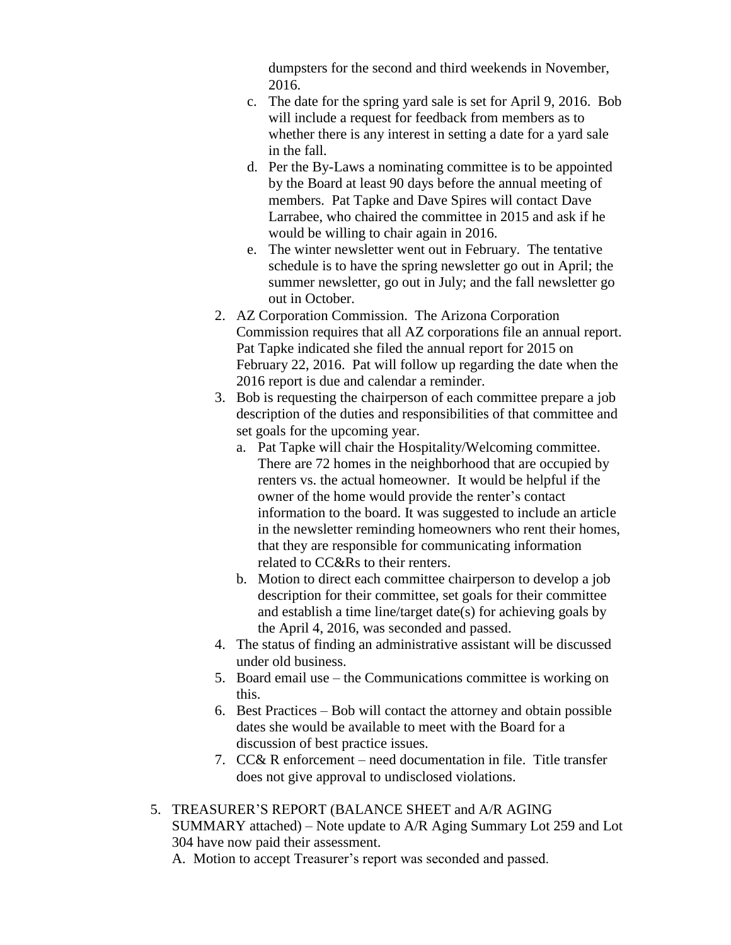dumpsters for the second and third weekends in November, 2016.

- c. The date for the spring yard sale is set for April 9, 2016. Bob will include a request for feedback from members as to whether there is any interest in setting a date for a yard sale in the fall.
- d. Per the By-Laws a nominating committee is to be appointed by the Board at least 90 days before the annual meeting of members. Pat Tapke and Dave Spires will contact Dave Larrabee, who chaired the committee in 2015 and ask if he would be willing to chair again in 2016.
- e. The winter newsletter went out in February. The tentative schedule is to have the spring newsletter go out in April; the summer newsletter, go out in July; and the fall newsletter go out in October.
- 2. AZ Corporation Commission. The Arizona Corporation Commission requires that all AZ corporations file an annual report. Pat Tapke indicated she filed the annual report for 2015 on February 22, 2016. Pat will follow up regarding the date when the 2016 report is due and calendar a reminder.
- 3. Bob is requesting the chairperson of each committee prepare a job description of the duties and responsibilities of that committee and set goals for the upcoming year.
	- a. Pat Tapke will chair the Hospitality/Welcoming committee. There are 72 homes in the neighborhood that are occupied by renters vs. the actual homeowner. It would be helpful if the owner of the home would provide the renter's contact information to the board. It was suggested to include an article in the newsletter reminding homeowners who rent their homes, that they are responsible for communicating information related to CC&Rs to their renters.
	- b. Motion to direct each committee chairperson to develop a job description for their committee, set goals for their committee and establish a time line/target date(s) for achieving goals by the April 4, 2016, was seconded and passed.
- 4. The status of finding an administrative assistant will be discussed under old business.
- 5. Board email use the Communications committee is working on this.
- 6. Best Practices Bob will contact the attorney and obtain possible dates she would be available to meet with the Board for a discussion of best practice issues.
- 7. CC& R enforcement need documentation in file. Title transfer does not give approval to undisclosed violations.
- 5. TREASURER'S REPORT (BALANCE SHEET and A/R AGING SUMMARY attached) – Note update to A/R Aging Summary Lot 259 and Lot 304 have now paid their assessment.

A. Motion to accept Treasurer's report was seconded and passed.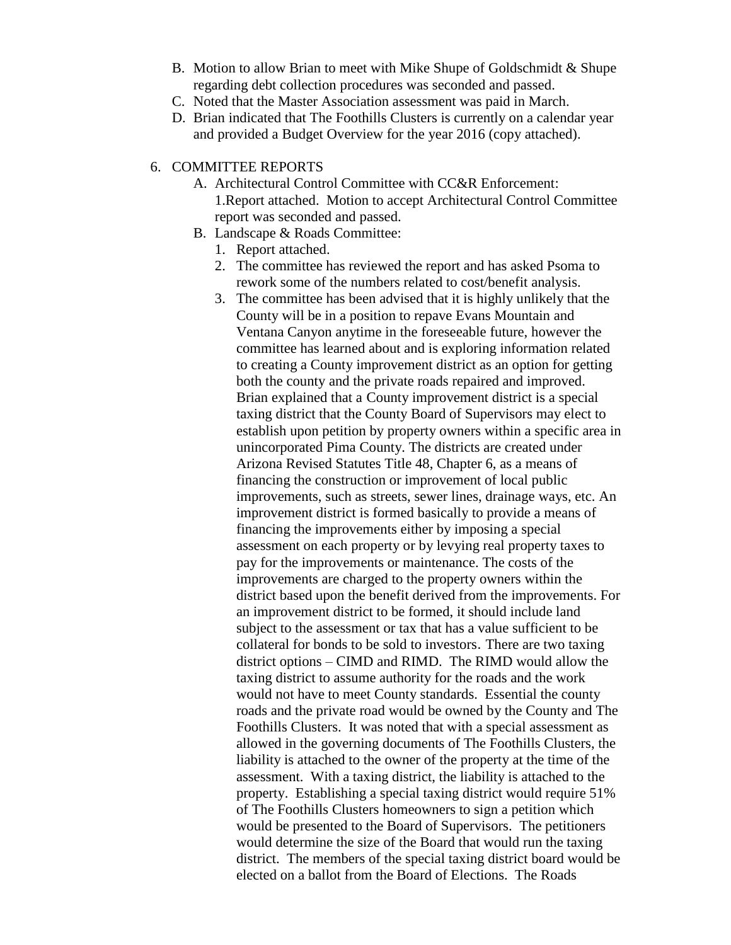- B. Motion to allow Brian to meet with Mike Shupe of Goldschmidt & Shupe regarding debt collection procedures was seconded and passed.
- C. Noted that the Master Association assessment was paid in March.
- D. Brian indicated that The Foothills Clusters is currently on a calendar year and provided a Budget Overview for the year 2016 (copy attached).

## 6. COMMITTEE REPORTS

- A. Architectural Control Committee with CC&R Enforcement: 1.Report attached. Motion to accept Architectural Control Committee report was seconded and passed.
- B. Landscape & Roads Committee:
	- 1. Report attached.
	- 2. The committee has reviewed the report and has asked Psoma to rework some of the numbers related to cost/benefit analysis.
	- 3. The committee has been advised that it is highly unlikely that the County will be in a position to repave Evans Mountain and Ventana Canyon anytime in the foreseeable future, however the committee has learned about and is exploring information related to creating a County improvement district as an option for getting both the county and the private roads repaired and improved. Brian explained that a County improvement district is a special taxing district that the County Board of Supervisors may elect to establish upon petition by property owners within a specific area in unincorporated Pima County. The districts are created under Arizona Revised Statutes Title 48, Chapter 6, as a means of financing the construction or improvement of local public improvements, such as streets, sewer lines, drainage ways, etc. An improvement district is formed basically to provide a means of financing the improvements either by imposing a special assessment on each property or by levying real property taxes to pay for the improvements or maintenance. The costs of the improvements are charged to the property owners within the district based upon the benefit derived from the improvements. For an improvement district to be formed, it should include land subject to the assessment or tax that has a value sufficient to be collateral for bonds to be sold to investors. There are two taxing district options – CIMD and RIMD. The RIMD would allow the taxing district to assume authority for the roads and the work would not have to meet County standards. Essential the county roads and the private road would be owned by the County and The Foothills Clusters. It was noted that with a special assessment as allowed in the governing documents of The Foothills Clusters, the liability is attached to the owner of the property at the time of the assessment. With a taxing district, the liability is attached to the property. Establishing a special taxing district would require 51% of The Foothills Clusters homeowners to sign a petition which would be presented to the Board of Supervisors. The petitioners would determine the size of the Board that would run the taxing district. The members of the special taxing district board would be elected on a ballot from the Board of Elections. The Roads